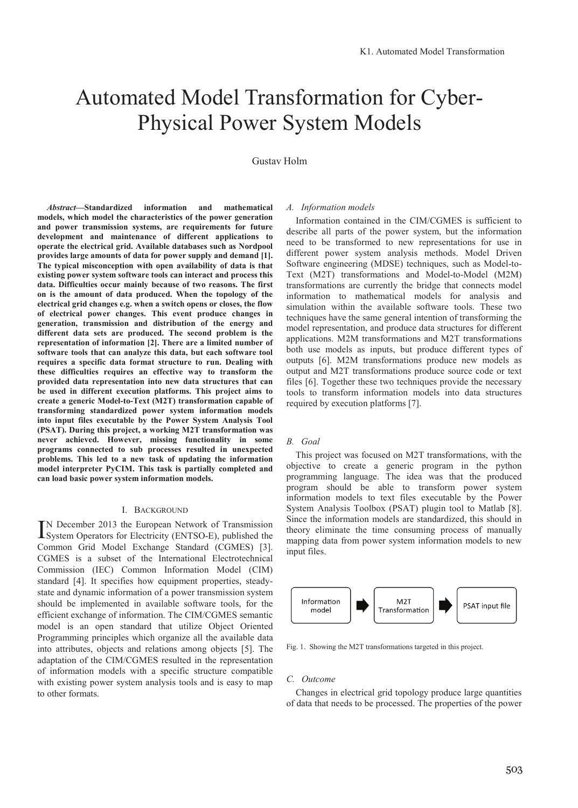# Automated Model Transformation for Cyber-Physical Power System Models

# Gustav Holm

*Abstract***—Standardized information and mathematical models, which model the characteristics of the power generation and power transmission systems, are requirements for future development and maintenance of different applications to operate the electrical grid. Available databases such as Nordpool provides large amounts of data for power supply and demand [1]. The typical misconception with open availability of data is that existing power system software tools can interact and process this data. Difficulties occur mainly because of two reasons. The first on is the amount of data produced. When the topology of the electrical grid changes e.g. when a switch opens or closes, the flow of electrical power changes. This event produce changes in generation, transmission and distribution of the energy and different data sets are produced. The second problem is the representation of information [2]. There are a limited number of software tools that can analyze this data, but each software tool requires a specific data format structure to run. Dealing with these difficulties requires an effective way to transform the provided data representation into new data structures that can be used in different execution platforms. This project aims to create a generic Model-to-Text (M2T) transformation capable of transforming standardized power system information models into input files executable by the Power System Analysis Tool (PSAT). During this project, a working M2T transformation was never achieved. However, missing functionality in some programs connected to sub processes resulted in unexpected problems. This led to a new task of updating the information model interpreter PyCIM. This task is partially completed and can load basic power system information models.**

# I. BACKGROUND

N December 2013 the European Network of Transmission IN December 2013 the European Network of Transmission<br>System Operators for Electricity (ENTSO-E), published the Common Grid Model Exchange Standard (CGMES) [3]. CGMES is a subset of the International Electrotechnical Commission (IEC) Common Information Model (CIM) standard [4]. It specifies how equipment properties, steadystate and dynamic information of a power transmission system should be implemented in available software tools, for the efficient exchange of information. The CIM/CGMES semantic model is an open standard that utilize Object Oriented Programming principles which organize all the available data into attributes, objects and relations among objects [5]. The adaptation of the CIM/CGMES resulted in the representation of information models with a specific structure compatible with existing power system analysis tools and is easy to map to other formats.

## *A. Information models*

Information contained in the CIM/CGMES is sufficient to describe all parts of the power system, but the information need to be transformed to new representations for use in different power system analysis methods. Model Driven Software engineering (MDSE) techniques, such as Model-to-Text (M2T) transformations and Model-to-Model (M2M) transformations are currently the bridge that connects model information to mathematical models for analysis and simulation within the available software tools. These two techniques have the same general intention of transforming the model representation, and produce data structures for different applications. M2M transformations and M2T transformations both use models as inputs, but produce different types of outputs [6]. M2M transformations produce new models as output and M2T transformations produce source code or text files [6]. Together these two techniques provide the necessary tools to transform information models into data structures required by execution platforms [7].

#### *B. Goal*

This project was focused on M2T transformations, with the objective to create a generic program in the python programming language. The idea was that the produced program should be able to transform power system information models to text files executable by the Power System Analysis Toolbox (PSAT) plugin tool to Matlab [8]. Since the information models are standardized, this should in theory eliminate the time consuming process of manually mapping data from power system information models to new input files.



Fig. 1. Showing the M2T transformations targeted in this project.

#### *C. Outcome*

Changes in electrical grid topology produce large quantities of data that needs to be processed. The properties of the power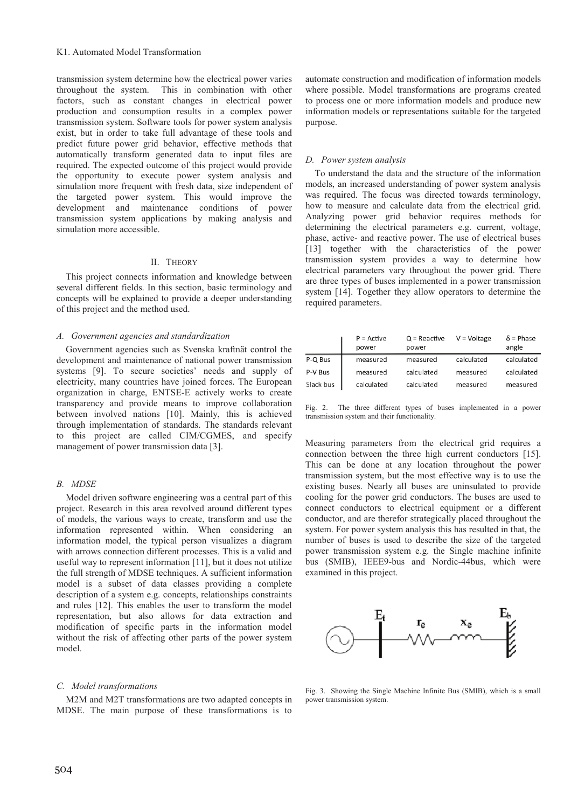transmission system determine how the electrical power varies throughout the system. This in combination with other factors, such as constant changes in electrical power production and consumption results in a complex power transmission system. Software tools for power system analysis exist, but in order to take full advantage of these tools and predict future power grid behavior, effective methods that automatically transform generated data to input files are required. The expected outcome of this project would provide the opportunity to execute power system analysis and simulation more frequent with fresh data, size independent of the targeted power system. This would improve the development and maintenance conditions of power transmission system applications by making analysis and simulation more accessible.

# II. THEORY

This project connects information and knowledge between several different fields. In this section, basic terminology and concepts will be explained to provide a deeper understanding of this project and the method used.

## *A. Government agencies and standardization*

Government agencies such as Svenska kraftnät control the development and maintenance of national power transmission systems [9]. To secure societies' needs and supply of electricity, many countries have joined forces. The European organization in charge, ENTSE-E actively works to create transparency and provide means to improve collaboration between involved nations [10]. Mainly, this is achieved through implementation of standards. The standards relevant to this project are called CIM/CGMES, and specify management of power transmission data [3].

# *B. MDSE*

Model driven software engineering was a central part of this project. Research in this area revolved around different types of models, the various ways to create, transform and use the information represented within. When considering an information model, the typical person visualizes a diagram with arrows connection different processes. This is a valid and useful way to represent information [11], but it does not utilize the full strength of MDSE techniques. A sufficient information model is a subset of data classes providing a complete description of a system e.g. concepts, relationships constraints and rules [12]. This enables the user to transform the model representation, but also allows for data extraction and modification of specific parts in the information model without the risk of affecting other parts of the power system model.

# *C. Model transformations*

M2M and M2T transformations are two adapted concepts in MDSE. The main purpose of these transformations is to

automate construction and modification of information models where possible. Model transformations are programs created to process one or more information models and produce new information models or representations suitable for the targeted purpose.

#### *D. Power system analysis*

To understand the data and the structure of the information models, an increased understanding of power system analysis was required. The focus was directed towards terminology, how to measure and calculate data from the electrical grid. Analyzing power grid behavior requires methods for determining the electrical parameters e.g. current, voltage, phase, active- and reactive power. The use of electrical buses [13] together with the characteristics of the power transmission system provides a way to determine how electrical parameters vary throughout the power grid. There are three types of buses implemented in a power transmission system [14]. Together they allow operators to determine the required parameters.

|           | $P =$ Active<br>power | $Q =$ Reactive<br>power | $V = Vol$ tage | $\delta$ = Phase<br>angle |
|-----------|-----------------------|-------------------------|----------------|---------------------------|
| P-Q Bus   | measured              | measured                | calculated     | calculated                |
| P-V Bus   | measured              | calculated              | measured       | calculated                |
| Slack bus | calculated            | calculated              | measured       | measured                  |

Fig. 2. The three different types of buses implemented in a power transmission system and their functionality.

Measuring parameters from the electrical grid requires a connection between the three high current conductors [15]. This can be done at any location throughout the power transmission system, but the most effective way is to use the existing buses. Nearly all buses are uninsulated to provide cooling for the power grid conductors. The buses are used to connect conductors to electrical equipment or a different conductor, and are therefor strategically placed throughout the system. For power system analysis this has resulted in that, the number of buses is used to describe the size of the targeted power transmission system e.g. the Single machine infinite bus (SMIB), IEEE9-bus and Nordic-44bus, which were examined in this project.



Fig. 3. Showing the Single Machine Infinite Bus (SMIB), which is a small power transmission system.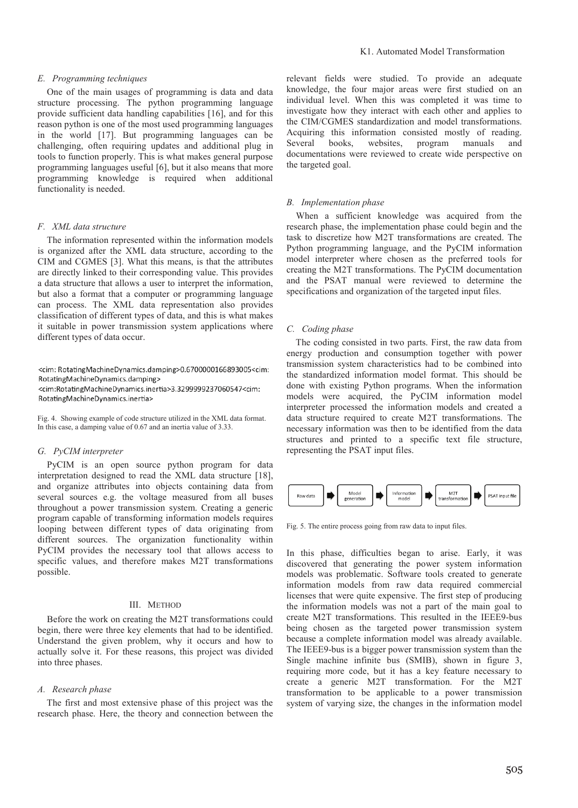## *E. Programming techniques*

One of the main usages of programming is data and data structure processing. The python programming language provide sufficient data handling capabilities [16], and for this reason python is one of the most used programming languages in the world [17]. But programming languages can be challenging, often requiring updates and additional plug in tools to function properly. This is what makes general purpose programming languages useful [6], but it also means that more programming knowledge is required when additional functionality is needed.

#### *F. XML data structure*

The information represented within the information models is organized after the XML data structure, according to the CIM and CGMES [3]. What this means, is that the attributes are directly linked to their corresponding value. This provides a data structure that allows a user to interpret the information, but also a format that a computer or programming language can process. The XML data representation also provides classification of different types of data, and this is what makes it suitable in power transmission system applications where different types of data occur.

<cim: RotatingMachineDynamics.damping>0.6700000166893005<cim: RotatingMachineDynamics.damping> <cim:RotatingMachineDynamics.inertia>3.3299999237060547<cim: RotatingMachineDynamics.inertia>

Fig. 4. Showing example of code structure utilized in the XML data format. In this case, a damping value of 0.67 and an inertia value of 3.33.

# *G. PyCIM interpreter*

PyCIM is an open source python program for data interpretation designed to read the XML data structure [18], and organize attributes into objects containing data from several sources e.g. the voltage measured from all buses throughout a power transmission system. Creating a generic program capable of transforming information models requires looping between different types of data originating from different sources. The organization functionality within PyCIM provides the necessary tool that allows access to specific values, and therefore makes M2T transformations possible.

#### III. METHOD

Before the work on creating the M2T transformations could begin, there were three key elements that had to be identified. Understand the given problem, why it occurs and how to actually solve it. For these reasons, this project was divided into three phases.

## *A. Research phase*

The first and most extensive phase of this project was the research phase. Here, the theory and connection between the relevant fields were studied. To provide an adequate knowledge, the four major areas were first studied on an individual level. When this was completed it was time to investigate how they interact with each other and applies to the CIM/CGMES standardization and model transformations. Acquiring this information consisted mostly of reading. Several books, websites, program manuals and documentations were reviewed to create wide perspective on the targeted goal.

#### *B. Implementation phase*

When a sufficient knowledge was acquired from the research phase, the implementation phase could begin and the task to discretize how M2T transformations are created. The Python programming language, and the PyCIM information model interpreter where chosen as the preferred tools for creating the M2T transformations. The PyCIM documentation and the PSAT manual were reviewed to determine the specifications and organization of the targeted input files.

#### *C. Coding phase*

The coding consisted in two parts. First, the raw data from energy production and consumption together with power transmission system characteristics had to be combined into the standardized information model format. This should be done with existing Python programs. When the information models were acquired, the PyCIM information model interpreter processed the information models and created a data structure required to create M2T transformations. The necessary information was then to be identified from the data structures and printed to a specific text file structure, representing the PSAT input files.



Fig. 5. The entire process going from raw data to input files.

In this phase, difficulties began to arise. Early, it was discovered that generating the power system information models was problematic. Software tools created to generate information models from raw data required commercial licenses that were quite expensive. The first step of producing the information models was not a part of the main goal to create M2T transformations. This resulted in the IEEE9-bus being chosen as the targeted power transmission system because a complete information model was already available. The IEEE9-bus is a bigger power transmission system than the Single machine infinite bus (SMIB), shown in figure 3, requiring more code, but it has a key feature necessary to create a generic M2T transformation. For the M2T transformation to be applicable to a power transmission system of varying size, the changes in the information model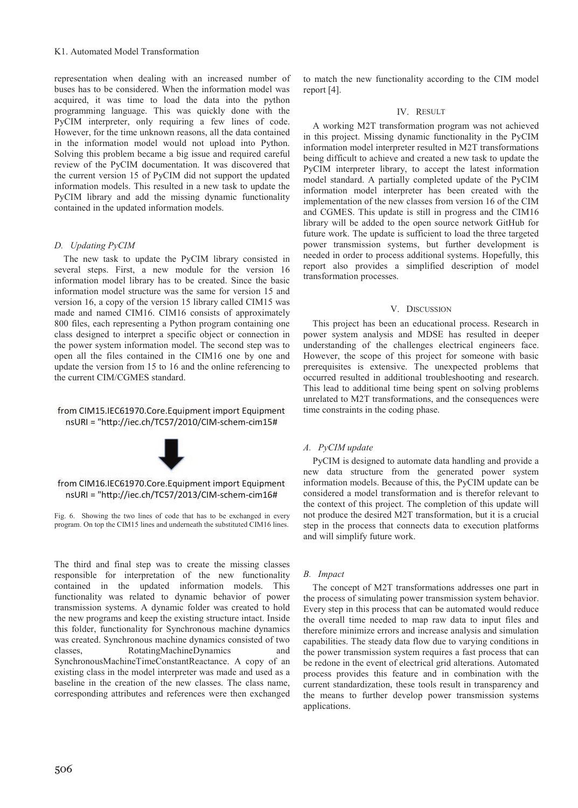representation when dealing with an increased number of buses has to be considered. When the information model was acquired, it was time to load the data into the python programming language. This was quickly done with the PyCIM interpreter, only requiring a few lines of code. However, for the time unknown reasons, all the data contained in the information model would not upload into Python. Solving this problem became a big issue and required careful review of the PyCIM documentation. It was discovered that the current version 15 of PyCIM did not support the updated information models. This resulted in a new task to update the PyCIM library and add the missing dynamic functionality contained in the updated information models.

# *D. Updating PyCIM*

The new task to update the PyCIM library consisted in several steps. First, a new module for the version 16 information model library has to be created. Since the basic information model structure was the same for version 15 and version 16, a copy of the version 15 library called CIM15 was made and named CIM16. CIM16 consists of approximately 800 files, each representing a Python program containing one class designed to interpret a specific object or connection in the power system information model. The second step was to open all the files contained in the CIM16 one by one and update the version from 15 to 16 and the online referencing to the current CIM/CGMES standard.

# from CIM15.IEC61970.Core.Equipment import Equipment nsURI = "http://iec.ch/TC57/2010/CIM-schem-cim15#





Fig. 6. Showing the two lines of code that has to be exchanged in every program. On top the CIM15 lines and underneath the substituted CIM16 lines.

The third and final step was to create the missing classes responsible for interpretation of the new functionality contained in the updated information models. This functionality was related to dynamic behavior of power transmission systems. A dynamic folder was created to hold the new programs and keep the existing structure intact. Inside this folder, functionality for Synchronous machine dynamics was created. Synchronous machine dynamics consisted of two classes, RotatingMachineDynamics and SynchronousMachineTimeConstantReactance. A copy of an existing class in the model interpreter was made and used as a baseline in the creation of the new classes. The class name, corresponding attributes and references were then exchanged

to match the new functionality according to the CIM model report [4].

# IV. RESULT

A working M2T transformation program was not achieved in this project. Missing dynamic functionality in the PyCIM information model interpreter resulted in M2T transformations being difficult to achieve and created a new task to update the PyCIM interpreter library, to accept the latest information model standard. A partially completed update of the PyCIM information model interpreter has been created with the implementation of the new classes from version 16 of the CIM and CGMES. This update is still in progress and the CIM16 library will be added to the open source network GitHub for future work. The update is sufficient to load the three targeted power transmission systems, but further development is needed in order to process additional systems. Hopefully, this report also provides a simplified description of model transformation processes.

#### V. DISCUSSION

This project has been an educational process. Research in power system analysis and MDSE has resulted in deeper understanding of the challenges electrical engineers face. However, the scope of this project for someone with basic prerequisites is extensive. The unexpected problems that occurred resulted in additional troubleshooting and research. This lead to additional time being spent on solving problems unrelated to M2T transformations, and the consequences were time constraints in the coding phase.

# *A. PyCIM update*

PyCIM is designed to automate data handling and provide a new data structure from the generated power system information models. Because of this, the PyCIM update can be considered a model transformation and is therefor relevant to the context of this project. The completion of this update will not produce the desired M2T transformation, but it is a crucial step in the process that connects data to execution platforms and will simplify future work.

## *B. Impact*

The concept of M2T transformations addresses one part in the process of simulating power transmission system behavior. Every step in this process that can be automated would reduce the overall time needed to map raw data to input files and therefore minimize errors and increase analysis and simulation capabilities. The steady data flow due to varying conditions in the power transmission system requires a fast process that can be redone in the event of electrical grid alterations. Automated process provides this feature and in combination with the current standardization, these tools result in transparency and the means to further develop power transmission systems applications.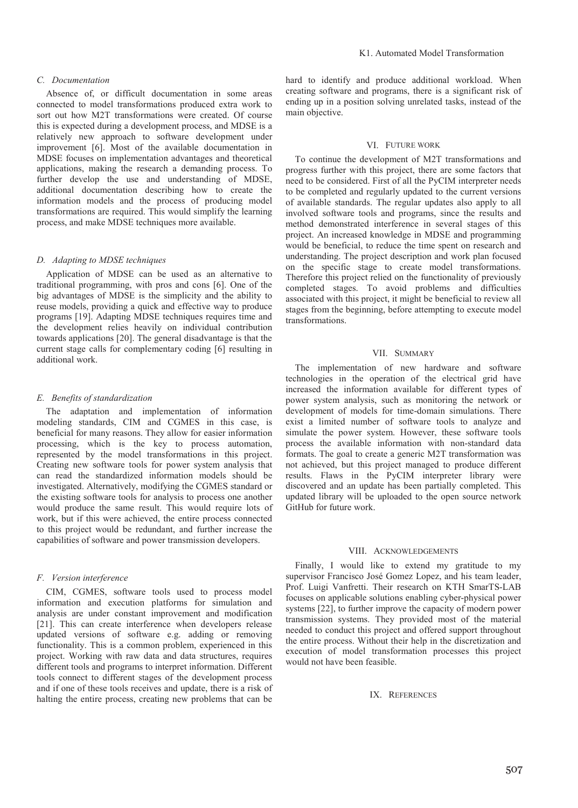## *C. Documentation*

Absence of, or difficult documentation in some areas connected to model transformations produced extra work to sort out how M2T transformations were created. Of course this is expected during a development process, and MDSE is a relatively new approach to software development under improvement [6]. Most of the available documentation in MDSE focuses on implementation advantages and theoretical applications, making the research a demanding process. To further develop the use and understanding of MDSE, additional documentation describing how to create the information models and the process of producing model transformations are required. This would simplify the learning process, and make MDSE techniques more available.

#### *D. Adapting to MDSE techniques*

Application of MDSE can be used as an alternative to traditional programming, with pros and cons [6]. One of the big advantages of MDSE is the simplicity and the ability to reuse models, providing a quick and effective way to produce programs [19]. Adapting MDSE techniques requires time and the development relies heavily on individual contribution towards applications [20]. The general disadvantage is that the current stage calls for complementary coding [6] resulting in additional work.

#### *E. Benefits of standardization*

The adaptation and implementation of information modeling standards, CIM and CGMES in this case, is beneficial for many reasons. They allow for easier information processing, which is the key to process automation, represented by the model transformations in this project. Creating new software tools for power system analysis that can read the standardized information models should be investigated. Alternatively, modifying the CGMES standard or the existing software tools for analysis to process one another would produce the same result. This would require lots of work, but if this were achieved, the entire process connected to this project would be redundant, and further increase the capabilities of software and power transmission developers.

## *F. Version interference*

CIM, CGMES, software tools used to process model information and execution platforms for simulation and analysis are under constant improvement and modification [21]. This can create interference when developers release updated versions of software e.g. adding or removing functionality. This is a common problem, experienced in this project. Working with raw data and data structures, requires different tools and programs to interpret information. Different tools connect to different stages of the development process and if one of these tools receives and update, there is a risk of halting the entire process, creating new problems that can be hard to identify and produce additional workload. When creating software and programs, there is a significant risk of ending up in a position solving unrelated tasks, instead of the main objective.

#### VI. FUTURE WORK

To continue the development of M2T transformations and progress further with this project, there are some factors that need to be considered. First of all the PyCIM interpreter needs to be completed and regularly updated to the current versions of available standards. The regular updates also apply to all involved software tools and programs, since the results and method demonstrated interference in several stages of this project. An increased knowledge in MDSE and programming would be beneficial, to reduce the time spent on research and understanding. The project description and work plan focused on the specific stage to create model transformations. Therefore this project relied on the functionality of previously completed stages. To avoid problems and difficulties associated with this project, it might be beneficial to review all stages from the beginning, before attempting to execute model transformations.

#### VII. SUMMARY

The implementation of new hardware and software technologies in the operation of the electrical grid have increased the information available for different types of power system analysis, such as monitoring the network or development of models for time-domain simulations. There exist a limited number of software tools to analyze and simulate the power system. However, these software tools process the available information with non-standard data formats. The goal to create a generic M2T transformation was not achieved, but this project managed to produce different results. Flaws in the PyCIM interpreter library were discovered and an update has been partially completed. This updated library will be uploaded to the open source network GitHub for future work.

#### VIII. ACKNOWLEDGEMENTS

Finally, I would like to extend my gratitude to my supervisor Francisco José Gomez Lopez, and his team leader, Prof. Luigi Vanfretti. Their research on KTH SmarTS-LAB focuses on applicable solutions enabling cyber-physical power systems [22], to further improve the capacity of modern power transmission systems. They provided most of the material needed to conduct this project and offered support throughout the entire process. Without their help in the discretization and execution of model transformation processes this project would not have been feasible.

# IX. REFERENCES